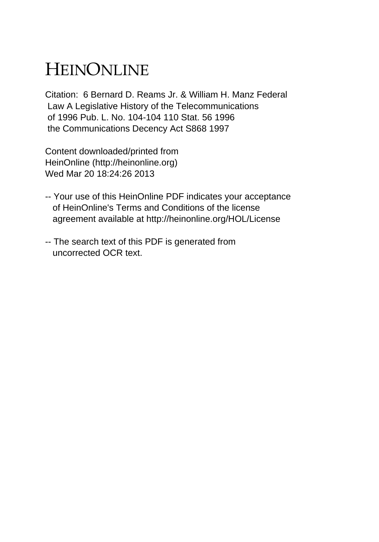## HEINONLINE

Citation: 6 Bernard D. Reams Jr. & William H. Manz Federal Law A Legislative History of the Telecommunications of 1996 Pub. L. No. 104-104 110 Stat. 56 1996 the Communications Decency Act S868 1997

Content downloaded/printed from HeinOnline (http://heinonline.org) Wed Mar 20 18:24:26 2013

- -- Your use of this HeinOnline PDF indicates your acceptance of HeinOnline's Terms and Conditions of the license agreement available at http://heinonline.org/HOL/License
- -- The search text of this PDF is generated from uncorrected OCR text.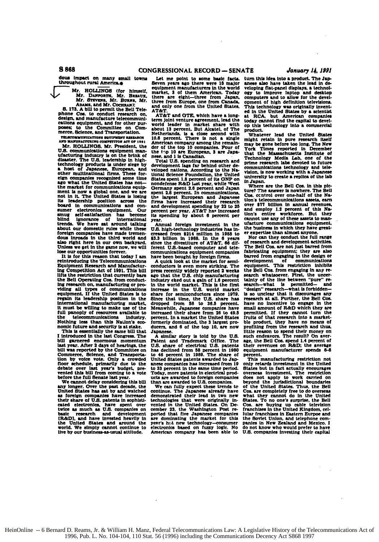dous impact **on** many **small** towns

Mr. HOLLINGS (for himself, Mr. DANFORTH, Mr. BREAUX.<br>Mr. STRVENS, Mr. BURNS, Mr.<br>ADAMS. and Mr. Cocman<sup>y</sup>:<br>**S. 173. A bill to permit the Bell Tele-**

phone Coo. to conduct research **on. design,** and manufacture telecommuni. cations equipment, and for other **pur-poses** to the Committee on **Com-** merce. Science. and Transportation.

-ELSCORmWCAUTOM **soviruz** asa" c **A"** uANUFACMcNO couIfrzow **Ac** or **11es,**

Mr. HOLLINGS. Mr. President, the U.S. communications equipment man-U.S. communications equipment man.<br>ufacturing industry is on the brink of disaster. The U.S. leadership in high-<br>technology products is under sige by<br>a host of Japanese, European, and<br>other multinational firms. These for-<br>eign companies recognized some time<br>ago what the United States has notare what the market for communications equip-<br>ment is now a global one, and we are<br>not in it. The United States is losing<br>its leadership position across the board in communications and con-<br>sumer electronics equipment. Our<br>smug self-satisfaction has become<br>blind ignorance of international<br>trends. We have sat around talking<br>about our domestic rules while these foreign companies have made tremendous inroads in the third world and<br>also right here in our own backyard. also right here in our own backyard. Unless we get in the **game** now. we **will** lose our opportunities forever.

It is for this reason that today **I** am reintroducing the Telecommunications Equipment Research and Manufacturing Competition Act of **1991. This bill** lifts the restriction that currently bars the Bell Operating Cos. from conduct-<br>ing research on, manufacturing or pro-**Ing** research on. manufacturing or pro- viding **all** types of communications equipment. **If** the United States is to regain Its leadership position in the international manufacturing market It must be willing to make use of the full panoply of resources available to<br>the telecommunications industry. the telecommunications Industry. Nothing **less** than this Nation's eco- nomic future and security is at stake. nomic future and security is at stake.<br>This is essentially the same bill that

**I** introduced in the last Congress. The **bill garnered enormous momentum**<br>last year. After 2 days of hearings, the bill was reported by the Committee on<br>Commerce, Science, and Transporta-<br>tion by voice vote. Only a crowded<br>floor schedule, primarily due to the<br>debate over last year's budget, pre-<br>vented this bill from coming to a vote before the **full** Senate last year. We cannot delay considering this **bill**

any longer. Over the past decade, the United States has sat by and watched United States has sat **by** and watched **as** foreign companies have Increased their share **of U.S.** patents in sophisti- cated electronics. have spent over twice as much **as U.S.** companies on **basic** research and development [R&DI, and have invested heavily In the United States and around the world. We simply cannot continue to live **by** our business-as-usual attitude.

Let me point to some basic facts. Seven years **ago** there were **15** major equipment manufacturers in the world market. **3 of** them American. Today there **are** eight-three from Japan. three from Europe. one from **Canada.** and only one from the United States, AT&T.

**AT&T** and **GTE,** which have **a** long. term Joint venture agreement, **lead** the world leader in market share with about **13** percent. But Alcatel. of The about 19 percent. But allows a close accord with<br>
10.8 percent. There is not a single<br>
American company among the remain-<br>
der of the top 10 companies. Four of<br>
the trap 10 are European, 3 are Japa-<br>
nee, and 1 is Canadian

nese. and **I** is Canadian. Total **U.S.** spending on research and development lags far behind other **de-** veloped nations. According to the **Na**tional Science Foundation, the United States spent **1.8** percent of its **ONP** on nondefense R&D last year. while West Germany spent 2.6 percent and **Japan** spent **2.8** percent. In communications. the largest European and Japanese firms have increased their research and development spending **by** 22 to **25** percent per year. AT&T h&- increased its spending **by** about **6** percent per year.

Annual foreign investment In the **U.S.** high-technology industries has In- creased from \$214 million in **1985** to **\$3.3** billion in **1988.** In the *6* years since the divestiture of AT&T, **66 dif-** ferent U.S.-based computer and telecommunications equipment companies have been bought **by** foreign finns. **A** quick look at the market for semi-

conductors is even more striking. The press recently widely reported 2 weeks ago that the **U.S. chip** manufacturing industry eked out **a** gain of **1.6** percent In the world market. This is the first increase in the **U.S.** world market share for semiconductors since **1979.** Since that time, the **U.S.** share has dropped from **58** to **36.5** percent. Meanwhile. Japanese companies have increased their **share** from 26 to 49.5 percent. In a market the United States<br>formerly dominated, the 3 largest proformerly dominated, the **3** largest pro- ducers, and **6** of the top **10, are** now

Japanese.<br>A similar story is told by the U.S. **<sup>A</sup>**similar story **is** told **by** the **U.S.** Patent and Trademark Office. The **U.S.** share **of** electrical **U.S.** patents has declined from **58** percent in **<sup>1980</sup>** to 46 percent in **1989.** The share of United States patents awarded to **Jap-** anese companies has increased from **<sup>19</sup>** to **33** percent in the same time period. Today, more patents in electrical products are awarded to foreign companies.

than **are** awarded to **U.S.** companies. We can fully expect these trends to continue. The Japanese already have demonstrated their lead in two new technologies that were originally invented in the United States. On De-cember **23.** the Washinston Post re- ported that five Japanese companies **are** dominating the market for this year's hct new technology--consumer electronics based on fury logic. No American company has been able to

AtE *Januar7 14.* **J991**

turn this Idea into a product. The **Jap-** anese also have taken the lead in **de**veloping flat-panel **displays,** a technol. **ogy** to improve laptop and desktop computers and **to** allow for the devel. opment **of** high definition televisions. This technology was originally invent. ed In the United States **by** a scientist at RCA. but American companies **today** cannot find the capital to devel**op** this technology into **a** commercial

product. Whatever lead the United States might retain In pure research Itself may be gone before too long. The New York Times reported n December that the Manschusetts Institute **of** Technology Media **Lab.** one of the prime research **labs** devoted to future communications technology and tele-<br>vision, is now working with a Japanese vision, is now working with a Japanese university to create **a** replica **of** the **lab** In Japan.

Where are the Bell **Cos.** in this **pic-** ture? The answer is nowhere. The el **Cos. ecntrol** over one-half **of** the **Na**tion's telecommunications assets earn of this Na-<br>
and employ 1.2 percent of this Na-<br>
tion's entire workforce. But they cannot use any of these assets to man-<br>ufacture communications equipment, the business in which they have great-<br>er expertise than almost anyone.<br>Nor can they conduct the full range

of research and development activities.<br>The Bell Cos. are not just barred from fabricating equipment; they are also<br>barred from engaging in the design or barred from engaging in the design or<br>development of communications<br>equipment. This restriction inhibits<br>the Bell Cos. from engaging in any re-<br>search whatsoever. First, the uncer-<br>tainty of the line between "pure" re-<br>esa is so unclear that it discourages any research at **all.** Further. the Bell **Cos.** have no incentive to engage in the<br>small amount of R&D which they are **small** amount of **RD** which they are permitted. **If** they cannot turn the fruits of that research into **a** marketble product, they have no means of profiting from the research and thus,<br>little reason to spend their money on little reason to spend their money on such endeavors. The result? On aver- age, the **Bell** Cos. spend 1.4 percent of their revenues on R&D. the average equipment manufacturer spends **6-8**

percent. This manufacturing restriction not only retards investment in the United States but in fact actually encourages<br>overseas investment. The restriction does not **apply** to work carried on beyond the Jurisdictional boundaries of the United States. Thus. the Bell **Co&** are completely free to do overseas what they cannot do In the United States. To no one's surprise, the Bell Cos. **are** buying up cable television franchises in the United Kingdom. cellular franchises in Eastern Eurpoe and<br>the Soviet Union, and telephone comthe Soviet Union. and telephone com- panies In New Zealand and Mexico. **<sup>I</sup>** do not know who would prefer to have **U.S.** companies investing their capital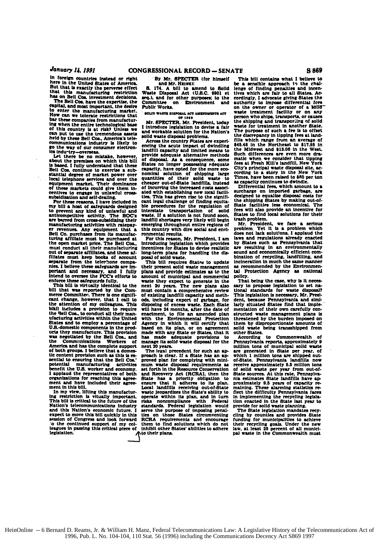In foreign countries instead or right. By Mr. SPECTER (for himself<br>here in the United States of America.<br>But that is exactly the perverse effect 8. 174. A bill to amend to Solid<br>that this manufacturing restriction Waste D

capital. and most Important, the desire Public Works. The manufacturing manufacturing manufacturing market. The manufacturing manufacturing manufacturing manufacturing manufacturing manufacturing  $\frac{1}{2}$ **bar these companies from manufactur-**<br> **bar these companies from manufactur-** Mr. SPECTER. Mr. President. today<br>
of this country is at risk? Unless we<br>
of this county is at risk? Unless we<br>
can put to use the tremendous a of this country is at risk? Unless we I introduce legislation to devise a fair<br>can put to use the tremendous assets and workable solution for the Nation's<br>held by these Bell Cos., America's tele-<br>communications industry is

about the premises on which this bill of disposal. As a consequence, some is based. I fully understand that these States no longer possessing relequate Bell Cos, continue to exercise a sub-<br>capacity, have opted for the more eco-<br>stantial degree of market power over nomical solution of shipping large<br>local telephone services and over the Quantilies of their solid waste to<br> centives to engage in unlawful cross-<br>of incurring the increased costs associated with establishing new local facili-<br>subsidization and self-dealing.<br>ties. This has given rise to the signifi-

anticompetitive activity. The BOC's waste. If a solution is not found soon, are barred from cross-subsidising their landfill shortages very likely will begin manufacturing activities with ratepay- emerging throughout entir turing affiliate must be purchased at Forthased at Forthased at Forthased at Forthased at Forthased at Forthased at Forthased at Forthased at Forthased at Forthased at Forthased at Forthased at Forthased at Forthased must must conduct all their manufacturing incentives for States to devise realistic<br>out of separate affilliates and these af- long-term plans for handling the dis-<br>filliates must keep books of account posal of solid waste.<br>espa

ecant change, however, that I call to ods, including export of garbage, for<br>the attention of my colleagues. This disposing of excess waste. Each State<br>bikil includes a provision to require will have 24 months, after the da the Bell Cos., to conduct all their man-emactment, to file an amended plan<br>ufacturing activities within the United with the Environmental Protection<br>States and to employ a percentage of Agency in which it will certify that U.S.-domestic components in the prod-based on its plan, or on agreement<br>ucts they manufacture. This provision made with any State or States, that it<br>was negotiated by the Bell Cos., and has made adequate provisions to<br>the America and has the complete support mext 20 years.<br>The legal precedent for such an applying and believe that a domes-<br>The legal precedent for such an applying with the content provision such as an applying with mini-<br>aent senius to ensuring trait are sell cost. proves plant for complying with mini-<br>potential manufacturing activities mum waste disposal requirements as<br>a rapidal the U.S. worker and economy. set forth in the Resource Conservat

In my view, lifting this manufacturing restriction is vitually important.<br>This bill is critical to the future of the<br>Nation's telecommunications industry Nation's telecommunications industry standards. Federal legislation would and this Nation's economic future. I serve the purpose of imposing penal-<br>expect to move this bill quickly in this ties on those States circumventing<br>session of Congress and look forward RCRA requirements and encourage<br>'o leagues In passing this critical piece of Inhibit other States' abilities to adhere leguslation. */to* their **plans.**

**B.** 174. A bill to amend to Solid<br>Waste Disposal Act (U.S.C. 8901 et<br>seq.), and for other purposes; to the<br>Committee on Environment and<br>Public Works.

**go** the way of our consumer electron- encing the acute impact of dwindling **ioe** andu-try-overseae. landfill capacity and limited means to provide adequate alternative methods<br>of disposal. As a consequence, some subsidization and self-dealing.<br>For these reasons, I have included in cant legal challenge of finding equita-<br>For these reasons, I have included in cant legal challenge of finding equisition<br>to prevent any kind of unlawful

This bill is virtually identical to the mext 20 years. The new plans also<br>bill that was reported by the Com- must contain a comprehensive review<br>merce Committee. There is one signifi- of existing landfill capacity and meth

In my view. lifting this manufactur- wasto Jeopardizes the State's ability to **Ing** restriction Is vitually important, operate within its plan. and In turn

This **bill** contains what **I** believe to be **<sup>a</sup>**sensible approach lt the challenge **of** finding penalties and Incen-tives which are fair to all States. **Ac**cordingly. **I** advocate **giving** States the authority to impose differential fces<br>on the owner or operator of a 16lid<br>waste treatment facility or on any<br>person who ships, transports, or causes<br>the shipping and transporting of solid waste for treatment in another State. The purpose of such **a** fee Is to offset the discrepancy In tipping fees at landfills which range frum an average **of 845.48** in the Northeast to **\$17.95** in the Midwest and **813.06** in the West. Such differences **are** even more dra. mate when we consider that tipping fees **at** Presh **Kill's** landfill. New York City's principal **waste disposal** site. **ac-** cording to a story In the New York Times, have been raised to **SAO** per ton

**as capacity continues to dwindle.**<br>Differential fees, which amount to a Differential fees. which amount to a surcharge on Imported garbage, are designed to equalize disposal costs for the shipping States **by** making out-of. State facilities less economical. The fees will also provide an incentive for States to find local solutions for their

trash problem. Mr. President. we face **a** serious problem. Yet it Is **a** problem which does not lack solut!ons. **I** applaud the **laws** and regulations already enacted **by** States such **as** Pennsylvania that **are** resulting in an environmentally sound and economically efficient com- bination of recycling. landfilling. and incineration in much the same manner as recommended **by** the Environmental Protection Agency **as** national

policy.<br>That being the case, why is it neces-**That** being the case. why Is It neces- sary to propose legislation to set **na-** tional standards for waste disposal? This legislation Is necessuary. Mr. **Presl.** dent, because Pennsylvania and simi-<br>larly situated States find that implelarly situated States find that implementation of their own carefully con-<br>structed waste management plans is<br>threatened by the burden imposed on threatened **by** the burden imposed on them **by** disproportionate amounts **of** solid waste **being** transshipped from other States.

According to Commonwealth of Pennsylvania reports, approximately **9** million tons of municipal solid waste are generated in State per year. of which 1 million tons are shipped out-<br>of-State. Pennsylvania landfills now of-State. Pennsylvania landfills now receive approximately **5.5** million tons of solid waste per year from out-of-State sources. At this rate. Pennsylva- nia estimates State landfills have **ap.** proximately **9.5** years of capacity re- maining. These alarming statistics re- flect the difficulty Pennsylvania faces In Implementing the recycling legisla. **tion** enacted in the State last year to

provide for solid waste planning. The State legislation mandates **recy.** cling **by** counties and provides State cling by countles and provides State<br>funding for municipalities to achieve their recycling goals. Under the new law. at least 25 percent of **all** munclpal waste in the Commonwealth must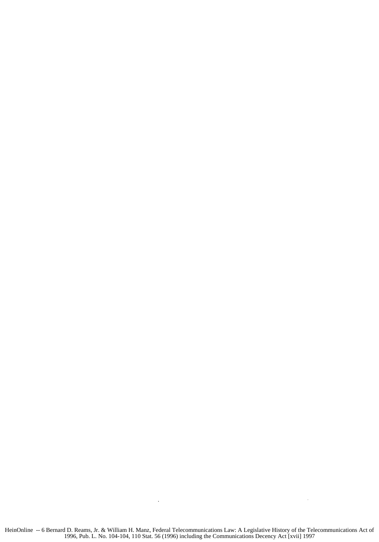HeinOnline -- 6 Bernard D. Reams, Jr. & William H. Manz, Federal Telecommunications Law: A Legislative History of the Telecommunications Act of 1996, Pub. L. No. 104-104, 110 Stat. 56 (1996) including the Communications Decency Act [xvii] 1997

 $\sim 10^{11}$ 

 $\sim 10$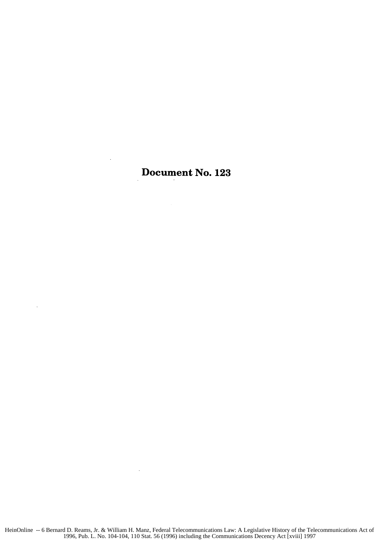## Document No. **123**

 $\ddot{\phantom{a}}$ 

l,

 $\sim$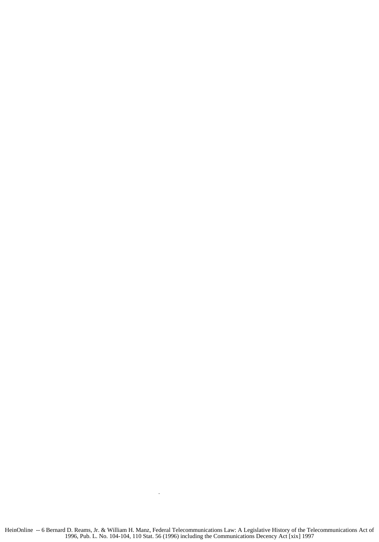HeinOnline -- 6 Bernard D. Reams, Jr. & William H. Manz, Federal Telecommunications Law: A Legislative History of the Telecommunications Act of 1996, Pub. L. No. 104-104, 110 Stat. 56 (1996) including the Communications Decency Act [xix] 1997

 $\ddot{\phantom{a}}$